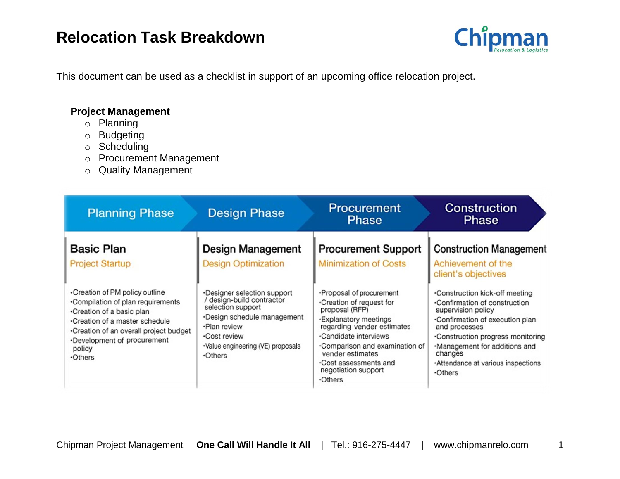

This document can be used as a checklist in support of an upcoming office relocation project.

### **Project Management**

- o Planning
- o Budgeting
- o Scheduling
- o Procurement Management
- o Quality Management

| <b>Planning Phase</b>                                                                                                                                                                                                                 | <b>Design Phase</b>                                                                                                                                                                                 | <b>Procurement</b><br><b>Phase</b>                                                                                                                                                                                                                                             | Construction<br><b>Phase</b>                                                                                                                                                                                                                                                      |
|---------------------------------------------------------------------------------------------------------------------------------------------------------------------------------------------------------------------------------------|-----------------------------------------------------------------------------------------------------------------------------------------------------------------------------------------------------|--------------------------------------------------------------------------------------------------------------------------------------------------------------------------------------------------------------------------------------------------------------------------------|-----------------------------------------------------------------------------------------------------------------------------------------------------------------------------------------------------------------------------------------------------------------------------------|
| <b>Basic Plan</b><br><b>Project Startup</b>                                                                                                                                                                                           | Design Management<br><b>Design Optimization</b>                                                                                                                                                     | <b>Procurement Support</b><br><b>Minimization of Costs</b>                                                                                                                                                                                                                     | <b>Construction Management</b><br>Achievement of the<br>client's objectives                                                                                                                                                                                                       |
| Creation of PM policy outline<br>.Compilation of plan requirements<br>∙Creation of a basic plan<br>.Creation of a master schedule<br>.Creation of an overall project budget<br>Development of procurement<br>policy<br><b>•Others</b> | ·Designer selection support<br>/ design-build contractor<br>selection support<br>·Design schedule management<br>·Plan review<br>.Cost review<br>·Value engineering (VE) proposals<br>$\cdot$ Others | ·Proposal of procurement<br>.Creation of request for<br>proposal (RFP)<br>·Explanatory meetings<br>regarding vender estimates<br>.Candidate interviews<br>•Comparison and examination of<br>vender estimates<br>.Cost assessments and<br>negotiation support<br>$\cdot$ Others | •Construction kick-off meeting<br>.Confirmation of construction<br>supervision policy<br>.Confirmation of execution plan<br>and processes<br>.Construction progress monitoring<br>-Management for additions and<br>changes<br>Attendance at various inspections<br><b>-Others</b> |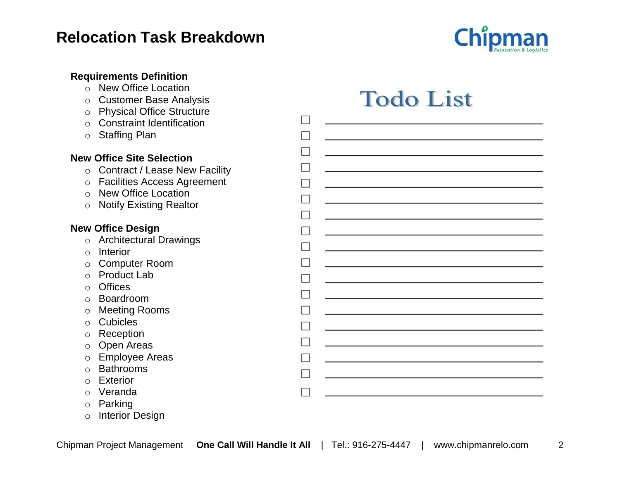

| <b>Requirements Definition</b><br><b>New Office Location</b><br>$\Omega$<br><b>Customer Base Analysis</b><br>$\circ$<br><b>Physical Office Structure</b><br>$\circ$<br><b>Constraint Identification</b><br>$\bigcirc$<br><b>Staffing Plan</b><br>$\circ$ | <b>Todo List</b> |
|----------------------------------------------------------------------------------------------------------------------------------------------------------------------------------------------------------------------------------------------------------|------------------|
| <b>New Office Site Selection</b>                                                                                                                                                                                                                         |                  |
| <b>Contract / Lease New Facility</b><br>$\circ$                                                                                                                                                                                                          |                  |
| <b>Facilities Access Agreement</b><br>$\circ$                                                                                                                                                                                                            |                  |
| <b>New Office Location</b><br>$\bigcirc$                                                                                                                                                                                                                 |                  |
| <b>Notify Existing Realtor</b><br>$\circ$                                                                                                                                                                                                                |                  |
|                                                                                                                                                                                                                                                          |                  |
| <b>New Office Design</b>                                                                                                                                                                                                                                 |                  |
| <b>Architectural Drawings</b><br>$\circ$                                                                                                                                                                                                                 |                  |
| Interior<br>$\bigcirc$                                                                                                                                                                                                                                   |                  |
| <b>Computer Room</b><br>$\circ$                                                                                                                                                                                                                          |                  |
| <b>Product Lab</b><br>$\circ$                                                                                                                                                                                                                            |                  |
| <b>Offices</b><br>$\circ$                                                                                                                                                                                                                                |                  |
| Boardroom<br>$\circ$                                                                                                                                                                                                                                     |                  |
| <b>Meeting Rooms</b><br>O                                                                                                                                                                                                                                |                  |
| <b>Cubicles</b><br>$\circ$                                                                                                                                                                                                                               |                  |
| Reception<br>O                                                                                                                                                                                                                                           |                  |
| Open Areas<br>O                                                                                                                                                                                                                                          |                  |
| <b>Employee Areas</b><br>O<br><b>Bathrooms</b>                                                                                                                                                                                                           |                  |
| $\circ$<br><b>Exterior</b>                                                                                                                                                                                                                               |                  |
| O<br>Veranda<br>∩                                                                                                                                                                                                                                        |                  |
| Parking<br>O                                                                                                                                                                                                                                             |                  |
| <b>Interior Design</b><br>$\circ$                                                                                                                                                                                                                        |                  |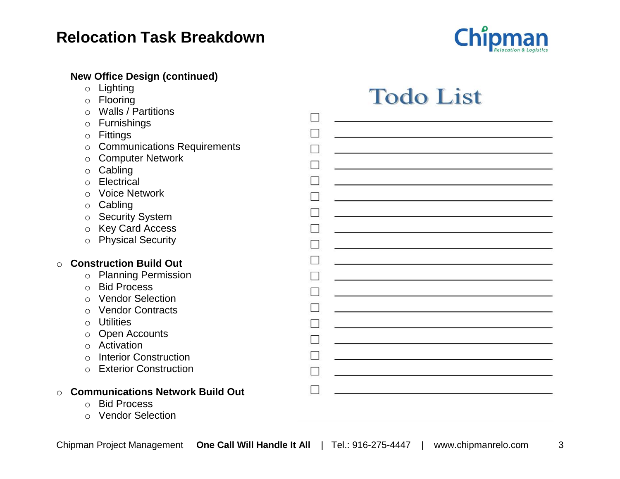

### **New Office Design (continued)**

- o Lighting
- o Flooring
- o Walls / Partitions
- o Furnishings
- o Fittings
- o Communications Requirements
- o Computer Network
- o Cabling
- o Electrical
- o Voice Network
- o Cabling
- o Security System
- o Key Card Access
- o Physical Security

#### o **Construction Build Out**

- o Planning Permission
- o Bid Process
- o Vendor Selection
- o Vendor Contracts
- o Utilities
- o Open Accounts
- o Activation
- o Interior Construction
- o Exterior Construction

#### o **Communications Network Build Out**

- o Bid Process
- o Vendor Selection

**Todo List** 

| П      |  |
|--------|--|
| $\Box$ |  |
| П      |  |
| $\Box$ |  |
| П      |  |
| $\Box$ |  |
| П      |  |
| $\Box$ |  |
| П      |  |
|        |  |
| $\Box$ |  |
| П      |  |
| $\Box$ |  |
| П      |  |
| $\Box$ |  |
| П      |  |
| П      |  |
| $\Box$ |  |
|        |  |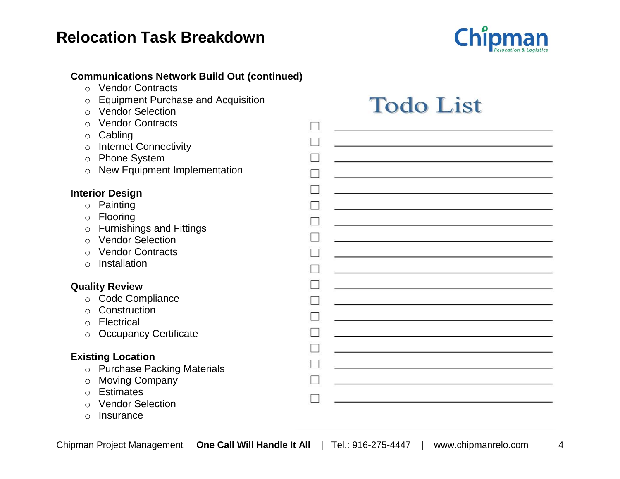

#### **Communications Network Build Out (continued)**

- o Vendor Contracts
- o Equipment Purchase and Acquisition
- o Vendor Selection
- o Vendor Contracts
- o Cabling
- o Internet Connectivity
- o Phone System
- $\circ$  New Equipment Implementation

#### **Interior Design**

- o Painting
- o Flooring
- o Furnishings and Fittings
- o Vendor Selection
- o Vendor Contracts
- o Installation

#### **Quality Review**

- o Code Compliance
- o Construction
- o Electrical
- o Occupancy Certificate

#### **Existing Location**

- o Purchase Packing Materials
- o Moving Company
- o Estimates
- o Vendor Selection
- o Insurance

# **Todo List**

|    | П                                                                                                                                                                                                                               |
|----|---------------------------------------------------------------------------------------------------------------------------------------------------------------------------------------------------------------------------------|
|    | $\Box$                                                                                                                                                                                                                          |
| วท | П                                                                                                                                                                                                                               |
|    | П                                                                                                                                                                                                                               |
|    | П                                                                                                                                                                                                                               |
|    | $\Box$                                                                                                                                                                                                                          |
|    |                                                                                                                                                                                                                                 |
|    | $\Box$                                                                                                                                                                                                                          |
|    | $\Box$                                                                                                                                                                                                                          |
|    | П                                                                                                                                                                                                                               |
|    | $\Box$                                                                                                                                                                                                                          |
|    | $\Box$                                                                                                                                                                                                                          |
|    | $\Box$                                                                                                                                                                                                                          |
|    | П                                                                                                                                                                                                                               |
|    | $\Box$                                                                                                                                                                                                                          |
|    | П                                                                                                                                                                                                                               |
|    |                                                                                                                                                                                                                                 |
|    | $\Box$                                                                                                                                                                                                                          |
|    | a di provincia di contro di contro di contro di contro di contro di contro di contro di contro di contro di co<br>Contro di contro di contro di contro di contro di contro di contro di contro di contro di contro di contro di |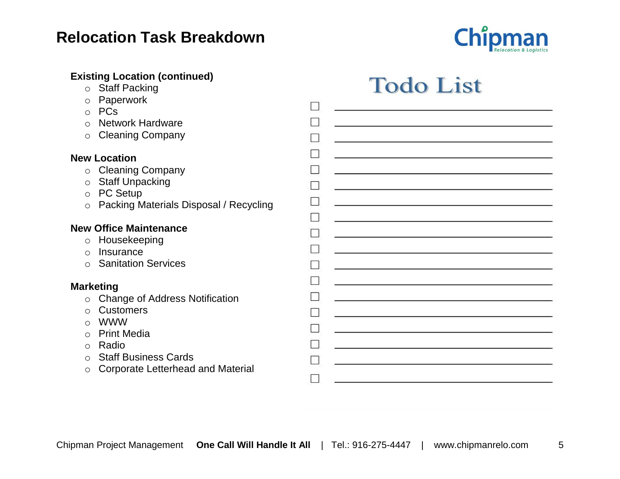

### **Existing Location (continued)**

- o Staff Packing
- o Paperwork
- o PCs
- $\circ$  Network Hardwa
- $\circ$  Cleaning Compa

### **New Location**

- $\circ$  Cleaning Compa
- o Staff Unpacking
- o PC Setup
- o Packing Materia

### **New Office Maintenar**

- o Housekeeping
- o Insurance
- $\circ$  Sanitation Services

### **Marketing**

- $\circ$  Change of Address
- o Customers
- o WWW
- o Print Media
- o Radio
- $\circ$  Staff Business C
- $\circ$  Corporate Letter

# **Todo List**

| are                     |                                                                                                                                                                                                                               |
|-------------------------|-------------------------------------------------------------------------------------------------------------------------------------------------------------------------------------------------------------------------------|
| any                     |                                                                                                                                                                                                                               |
|                         |                                                                                                                                                                                                                               |
| any                     |                                                                                                                                                                                                                               |
|                         |                                                                                                                                                                                                                               |
| Is Disposal / Recycling | <u> 1989 - Jan Sterling von de Berling von de Berling von de Berling von de Berling von de Berling von de Berlin</u>                                                                                                          |
|                         |                                                                                                                                                                                                                               |
| nce                     |                                                                                                                                                                                                                               |
|                         |                                                                                                                                                                                                                               |
| ces                     |                                                                                                                                                                                                                               |
|                         |                                                                                                                                                                                                                               |
| ess Notification        |                                                                                                                                                                                                                               |
|                         |                                                                                                                                                                                                                               |
|                         | the control of the control of the control of the control of the control of the control of the control of the control of the control of the control of the control of the control of the control of the control of the control |
|                         | <u> 1989 - Johann John Stein, markin fan it ferstjer fan de ferstjer fan it ferstjer fan de ferstjer fan it fers</u>                                                                                                          |
| Cards                   |                                                                                                                                                                                                                               |
| rhead and Material      |                                                                                                                                                                                                                               |
|                         |                                                                                                                                                                                                                               |